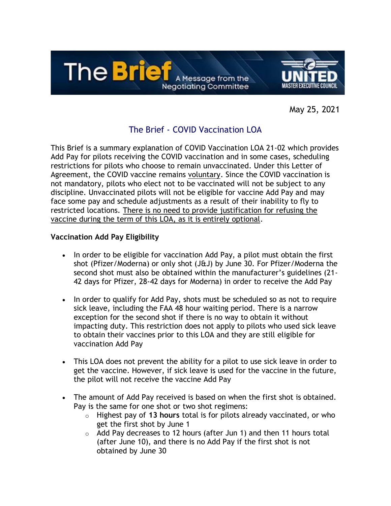

May 25, 2021

# The Brief - COVID Vaccination LOA

This Brief is a summary explanation of COVID Vaccination LOA 21-02 which provides Add Pay for pilots receiving the COVID vaccination and in some cases, scheduling restrictions for pilots who choose to remain unvaccinated. Under this Letter of Agreement, the COVID vaccine remains voluntary. Since the COVID vaccination is not mandatory, pilots who elect not to be vaccinated will not be subject to any discipline. Unvaccinated pilots will not be eligible for vaccine Add Pay and may face some pay and schedule adjustments as a result of their inability to fly to restricted locations. There is no need to provide justification for refusing the vaccine during the term of this LOA, as it is entirely optional.

### **Vaccination Add Pay Eligibility**

- In order to be eligible for vaccination Add Pay, a pilot must obtain the first shot (Pfizer/Moderna) or only shot (J&J) by June 30. For Pfizer/Moderna the second shot must also be obtained within the manufacturer's guidelines (21- 42 days for Pfizer, 28-42 days for Moderna) in order to receive the Add Pay
- In order to qualify for Add Pay, shots must be scheduled so as not to require sick leave, including the FAA 48 hour waiting period. There is a narrow exception for the second shot if there is no way to obtain it without impacting duty. This restriction does not apply to pilots who used sick leave to obtain their vaccines prior to this LOA and they are still eligible for vaccination Add Pay
- This LOA does not prevent the ability for a pilot to use sick leave in order to get the vaccine. However, if sick leave is used for the vaccine in the future, the pilot will not receive the vaccine Add Pay
- The amount of Add Pay received is based on when the first shot is obtained. Pay is the same for one shot or two shot regimens:
	- o Highest pay of **13 hours** total is for pilots already vaccinated, or who get the first shot by June 1
	- $\circ$  Add Pay decreases to 12 hours (after Jun 1) and then 11 hours total (after June 10), and there is no Add Pay if the first shot is not obtained by June 30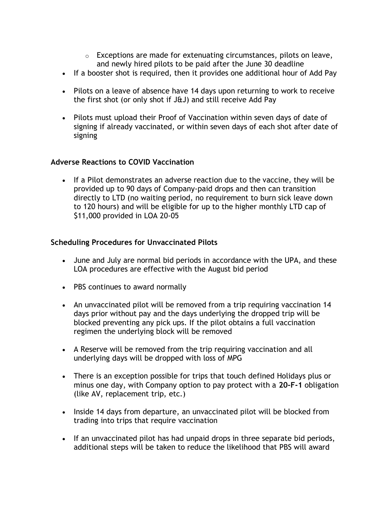- $\circ$  Exceptions are made for extenuating circumstances, pilots on leave, and newly hired pilots to be paid after the June 30 deadline
- If a booster shot is required, then it provides one additional hour of Add Pay
- Pilots on a leave of absence have 14 days upon returning to work to receive the first shot (or only shot if J&J) and still receive Add Pay
- Pilots must upload their Proof of Vaccination within seven days of date of signing if already vaccinated, or within seven days of each shot after date of signing

### **Adverse Reactions to COVID Vaccination**

• If a Pilot demonstrates an adverse reaction due to the vaccine, they will be provided up to 90 days of Company-paid drops and then can transition directly to LTD (no waiting period, no requirement to burn sick leave down to 120 hours) and will be eligible for up to the higher monthly LTD cap of \$11,000 provided in LOA 20-05

### **Scheduling Procedures for Unvaccinated Pilots**

- June and July are normal bid periods in accordance with the UPA, and these LOA procedures are effective with the August bid period
- PBS continues to award normally
- An unvaccinated pilot will be removed from a trip requiring vaccination 14 days prior without pay and the days underlying the dropped trip will be blocked preventing any pick ups. If the pilot obtains a full vaccination regimen the underlying block will be removed
- A Reserve will be removed from the trip requiring vaccination and all underlying days will be dropped with loss of MPG
- There is an exception possible for trips that touch defined Holidays plus or minus one day, with Company option to pay protect with a **20-F-1** obligation (like AV, replacement trip, etc.)
- Inside 14 days from departure, an unvaccinated pilot will be blocked from trading into trips that require vaccination
- If an unvaccinated pilot has had unpaid drops in three separate bid periods, additional steps will be taken to reduce the likelihood that PBS will award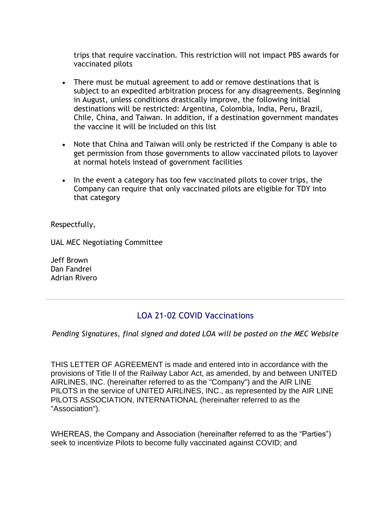trips that require vaccination. This restriction will not impact PBS awards for vaccinated pilots

- There must be mutual agreement to add or remove destinations that is subject to an expedited arbitration process for any disagreements. Beginning in August, unless conditions drastically improve, the following initial destinations will be restricted: Argentina, Colombia, India, Peru, Brazil, Chile, China, and Taiwan. In addition, if a destination government mandates the vaccine it will be included on this list
- Note that China and Taiwan will only be restricted if the Company is able to get permission from those governments to allow vaccinated pilots to layover at normal hotels instead of government facilities
- In the event a category has too few vaccinated pilots to cover trips, the Company can require that only vaccinated pilots are eligible for TDY into that category

Respectfully,

UAL MEC Negotiating Committee

Jeff Brown Dan Fandrei Adrian Rivero

## LOA 21-02 COVID Vaccinations

#### *Pending Signatures, final signed and dated LOA will be posted on the MEC Website*

THIS LETTER OF AGREEMENT is made and entered into in accordance with the provisions of Title II of the Railway Labor Act, as amended, by and between UNITED AIRLINES, INC. (hereinafter referred to as the "Company") and the AIR LINE PILOTS in the service of UNITED AIRLINES, INC., as represented by the AIR LINE PILOTS ASSOCIATION, INTERNATIONAL (hereinafter referred to as the "Association").

WHEREAS, the Company and Association (hereinafter referred to as the "Parties") seek to incentivize Pilots to become fully vaccinated against COVID; and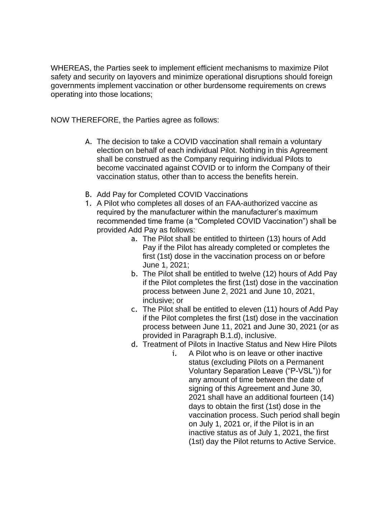WHEREAS, the Parties seek to implement efficient mechanisms to maximize Pilot safety and security on layovers and minimize operational disruptions should foreign governments implement vaccination or other burdensome requirements on crews operating into those locations;

NOW THEREFORE, the Parties agree as follows:

- A. The decision to take a COVID vaccination shall remain a voluntary election on behalf of each individual Pilot. Nothing in this Agreement shall be construed as the Company requiring individual Pilots to become vaccinated against COVID or to inform the Company of their vaccination status, other than to access the benefits herein.
- B. Add Pay for Completed COVID Vaccinations
- 1. A Pilot who completes all doses of an FAA-authorized vaccine as required by the manufacturer within the manufacturer's maximum recommended time frame (a "Completed COVID Vaccination") shall be provided Add Pay as follows:
	- a. The Pilot shall be entitled to thirteen (13) hours of Add Pay if the Pilot has already completed or completes the first (1st) dose in the vaccination process on or before June 1, 2021;
	- b. The Pilot shall be entitled to twelve (12) hours of Add Pay if the Pilot completes the first (1st) dose in the vaccination process between June 2, 2021 and June 10, 2021, inclusive; or
	- c. The Pilot shall be entitled to eleven (11) hours of Add Pay if the Pilot completes the first (1st) dose in the vaccination process between June 11, 2021 and June 30, 2021 (or as provided in Paragraph B.1.d), inclusive.
	- d. Treatment of Pilots in Inactive Status and New Hire Pilots
		- i. A Pilot who is on leave or other inactive status (excluding Pilots on a Permanent Voluntary Separation Leave ("P-VSL")) for any amount of time between the date of signing of this Agreement and June 30, 2021 shall have an additional fourteen (14) days to obtain the first (1st) dose in the vaccination process. Such period shall begin on July 1, 2021 or, if the Pilot is in an inactive status as of July 1, 2021, the first (1st) day the Pilot returns to Active Service.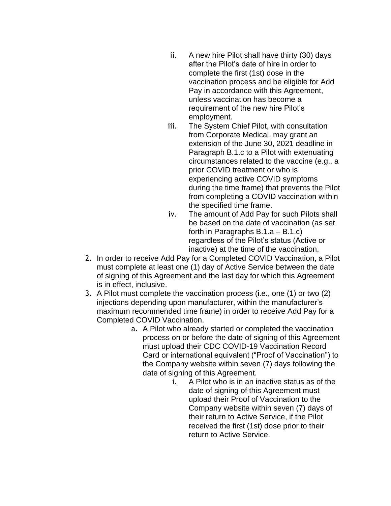- ii. A new hire Pilot shall have thirty (30) days after the Pilot's date of hire in order to complete the first (1st) dose in the vaccination process and be eligible for Add Pay in accordance with this Agreement, unless vaccination has become a requirement of the new hire Pilot's employment.
- iii. The System Chief Pilot, with consultation from Corporate Medical, may grant an extension of the June 30, 2021 deadline in Paragraph B.1.c to a Pilot with extenuating circumstances related to the vaccine (e.g., a prior COVID treatment or who is experiencing active COVID symptoms during the time frame) that prevents the Pilot from completing a COVID vaccination within the specified time frame.
- iv. The amount of Add Pay for such Pilots shall be based on the date of vaccination (as set forth in Paragraphs B.1.a – B.1.c) regardless of the Pilot's status (Active or inactive) at the time of the vaccination.
- 2. In order to receive Add Pay for a Completed COVID Vaccination, a Pilot must complete at least one (1) day of Active Service between the date of signing of this Agreement and the last day for which this Agreement is in effect, inclusive.
- 3. A Pilot must complete the vaccination process (i.e., one (1) or two (2) injections depending upon manufacturer, within the manufacturer's maximum recommended time frame) in order to receive Add Pay for a Completed COVID Vaccination.
	- a. A Pilot who already started or completed the vaccination process on or before the date of signing of this Agreement must upload their CDC COVID-19 Vaccination Record Card or international equivalent ("Proof of Vaccination") to the Company website within seven (7) days following the date of signing of this Agreement.
		- i. A Pilot who is in an inactive status as of the date of signing of this Agreement must upload their Proof of Vaccination to the Company website within seven (7) days of their return to Active Service, if the Pilot received the first (1st) dose prior to their return to Active Service.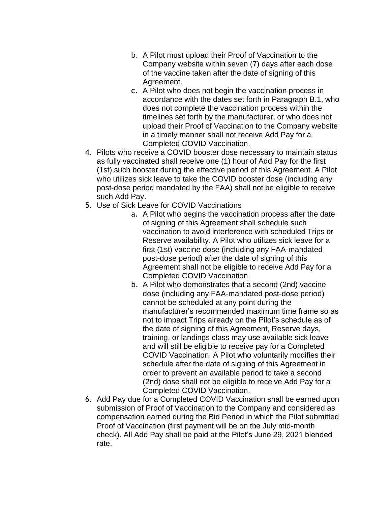- b. A Pilot must upload their Proof of Vaccination to the Company website within seven (7) days after each dose of the vaccine taken after the date of signing of this Agreement.
- c. A Pilot who does not begin the vaccination process in accordance with the dates set forth in Paragraph B.1, who does not complete the vaccination process within the timelines set forth by the manufacturer, or who does not upload their Proof of Vaccination to the Company website in a timely manner shall not receive Add Pay for a Completed COVID Vaccination.
- 4. Pilots who receive a COVID booster dose necessary to maintain status as fully vaccinated shall receive one (1) hour of Add Pay for the first (1st) such booster during the effective period of this Agreement. A Pilot who utilizes sick leave to take the COVID booster dose (including any post-dose period mandated by the FAA) shall not be eligible to receive such Add Pay.
- 5. Use of Sick Leave for COVID Vaccinations
	- a. A Pilot who begins the vaccination process after the date of signing of this Agreement shall schedule such vaccination to avoid interference with scheduled Trips or Reserve availability. A Pilot who utilizes sick leave for a first (1st) vaccine dose (including any FAA-mandated post-dose period) after the date of signing of this Agreement shall not be eligible to receive Add Pay for a Completed COVID Vaccination.
	- b. A Pilot who demonstrates that a second (2nd) vaccine dose (including any FAA-mandated post-dose period) cannot be scheduled at any point during the manufacturer's recommended maximum time frame so as not to impact Trips already on the Pilot's schedule as of the date of signing of this Agreement, Reserve days, training, or landings class may use available sick leave and will still be eligible to receive pay for a Completed COVID Vaccination. A Pilot who voluntarily modifies their schedule after the date of signing of this Agreement in order to prevent an available period to take a second (2nd) dose shall not be eligible to receive Add Pay for a Completed COVID Vaccination.
- 6. Add Pay due for a Completed COVID Vaccination shall be earned upon submission of Proof of Vaccination to the Company and considered as compensation earned during the Bid Period in which the Pilot submitted Proof of Vaccination (first payment will be on the July mid-month check). All Add Pay shall be paid at the Pilot's June 29, 2021 blended rate.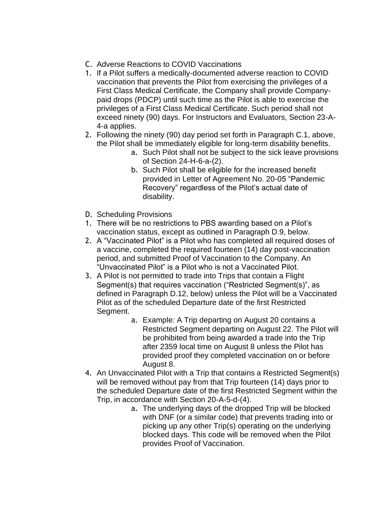- C. Adverse Reactions to COVID Vaccinations
- 1. If a Pilot suffers a medically-documented adverse reaction to COVID vaccination that prevents the Pilot from exercising the privileges of a First Class Medical Certificate, the Company shall provide Companypaid drops (PDCP) until such time as the Pilot is able to exercise the privileges of a First Class Medical Certificate. Such period shall not exceed ninety (90) days. For Instructors and Evaluators, Section 23-A-4-a applies.
- 2. Following the ninety (90) day period set forth in Paragraph C.1, above, the Pilot shall be immediately eligible for long-term disability benefits.
	- a. Such Pilot shall not be subject to the sick leave provisions of Section 24-H-6-a-(2).
	- b. Such Pilot shall be eligible for the increased benefit provided in Letter of Agreement No. 20-05 "Pandemic Recovery" regardless of the Pilot's actual date of disability.
- D. Scheduling Provisions
- 1. There will be no restrictions to PBS awarding based on a Pilot's vaccination status, except as outlined in Paragraph D.9, below.
- 2. A "Vaccinated Pilot" is a Pilot who has completed all required doses of a vaccine, completed the required fourteen (14) day post-vaccination period, and submitted Proof of Vaccination to the Company. An "Unvaccinated Pilot" is a Pilot who is not a Vaccinated Pilot.
- 3. A Pilot is not permitted to trade into Trips that contain a Flight Segment(s) that requires vaccination ("Restricted Segment(s)", as defined in Paragraph D.12, below) unless the Pilot will be a Vaccinated Pilot as of the scheduled Departure date of the first Restricted Segment.
	- a. Example*:* A Trip departing on August 20 contains a Restricted Segment departing on August 22. The Pilot will be prohibited from being awarded a trade into the Trip after 2359 local time on August 8 unless the Pilot has provided proof they completed vaccination on or before August 8.
- 4. An Unvaccinated Pilot with a Trip that contains a Restricted Segment(s) will be removed without pay from that Trip fourteen (14) days prior to the scheduled Departure date of the first Restricted Segment within the Trip, in accordance with Section 20-A-5-d-(4).
	- a. The underlying days of the dropped Trip will be blocked with DNF (or a similar code) that prevents trading into or picking up any other Trip(s) operating on the underlying blocked days. This code will be removed when the Pilot provides Proof of Vaccination.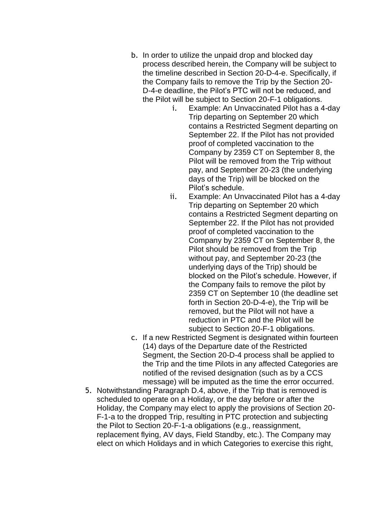- b. In order to utilize the unpaid drop and blocked day process described herein, the Company will be subject to the timeline described in Section 20-D-4-e. Specifically, if the Company fails to remove the Trip by the Section 20- D-4-e deadline, the Pilot's PTC will not be reduced, and the Pilot will be subject to Section 20-F-1 obligations.
	- i. Example: An Unvaccinated Pilot has a 4-day Trip departing on September 20 which contains a Restricted Segment departing on September 22. If the Pilot has not provided proof of completed vaccination to the Company by 2359 CT on September 8, the Pilot will be removed from the Trip without pay, and September 20-23 (the underlying days of the Trip) will be blocked on the Pilot's schedule.
	- ii. Example: An Unvaccinated Pilot has a 4-day Trip departing on September 20 which contains a Restricted Segment departing on September 22. If the Pilot has not provided proof of completed vaccination to the Company by 2359 CT on September 8, the Pilot should be removed from the Trip without pay, and September 20-23 (the underlying days of the Trip) should be blocked on the Pilot's schedule. However, if the Company fails to remove the pilot by 2359 CT on September 10 (the deadline set forth in Section 20-D-4-e), the Trip will be removed, but the Pilot will not have a reduction in PTC and the Pilot will be subject to Section 20-F-1 obligations.
- c. If a new Restricted Segment is designated within fourteen (14) days of the Departure date of the Restricted Segment, the Section 20-D-4 process shall be applied to the Trip and the time Pilots in any affected Categories are notified of the revised designation (such as by a CCS message) will be imputed as the time the error occurred.
- 5. Notwithstanding Paragraph D.4, above, if the Trip that is removed is scheduled to operate on a Holiday, or the day before or after the Holiday, the Company may elect to apply the provisions of Section 20- F-1-a to the dropped Trip, resulting in PTC protection and subjecting the Pilot to Section 20-F-1-a obligations (e.g., reassignment, replacement flying, AV days, Field Standby, etc.). The Company may elect on which Holidays and in which Categories to exercise this right,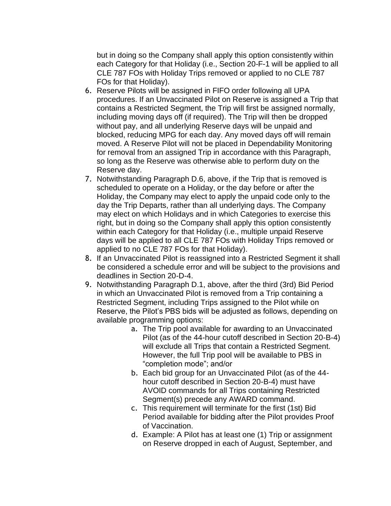but in doing so the Company shall apply this option consistently within each Category for that Holiday (i.e., Section 20-F-1 will be applied to all CLE 787 FOs with Holiday Trips removed or applied to no CLE 787 FOs for that Holiday).

- 6. Reserve Pilots will be assigned in FIFO order following all UPA procedures. If an Unvaccinated Pilot on Reserve is assigned a Trip that contains a Restricted Segment, the Trip will first be assigned normally, including moving days off (if required). The Trip will then be dropped without pay, and all underlying Reserve days will be unpaid and blocked, reducing MPG for each day. Any moved days off will remain moved. A Reserve Pilot will not be placed in Dependability Monitoring for removal from an assigned Trip in accordance with this Paragraph, so long as the Reserve was otherwise able to perform duty on the Reserve day.
- 7. Notwithstanding Paragraph D.6, above, if the Trip that is removed is scheduled to operate on a Holiday, or the day before or after the Holiday, the Company may elect to apply the unpaid code only to the day the Trip Departs, rather than all underlying days. The Company may elect on which Holidays and in which Categories to exercise this right, but in doing so the Company shall apply this option consistently within each Category for that Holiday (i.e., multiple unpaid Reserve days will be applied to all CLE 787 FOs with Holiday Trips removed or applied to no CLE 787 FOs for that Holiday).
- 8. If an Unvaccinated Pilot is reassigned into a Restricted Segment it shall be considered a schedule error and will be subject to the provisions and deadlines in Section 20-D-4.
- 9. Notwithstanding Paragraph D.1, above, after the third (3rd) Bid Period in which an Unvaccinated Pilot is removed from a Trip containing a Restricted Segment, including Trips assigned to the Pilot while on Reserve, the Pilot's PBS bids will be adjusted as follows, depending on available programming options:
	- a. The Trip pool available for awarding to an Unvaccinated Pilot (as of the 44-hour cutoff described in Section 20-B-4) will exclude all Trips that contain a Restricted Segment. However, the full Trip pool will be available to PBS in "completion mode"; and/or
	- b. Each bid group for an Unvaccinated Pilot (as of the 44 hour cutoff described in Section 20-B-4) must have AVOID commands for all Trips containing Restricted Segment(s) precede any AWARD command.
	- c. This requirement will terminate for the first (1st) Bid Period available for bidding after the Pilot provides Proof of Vaccination.
	- d. Example: A Pilot has at least one (1) Trip or assignment on Reserve dropped in each of August, September, and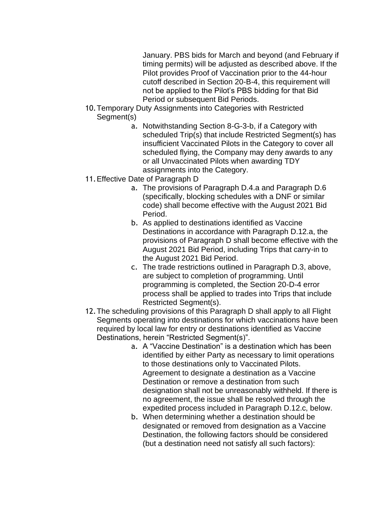January. PBS bids for March and beyond (and February if timing permits) will be adjusted as described above. If the Pilot provides Proof of Vaccination prior to the 44-hour cutoff described in Section 20-B-4, this requirement will not be applied to the Pilot's PBS bidding for that Bid Period or subsequent Bid Periods.

- 10.Temporary Duty Assignments into Categories with Restricted Segment(s)
	- a. Notwithstanding Section 8-G-3-b, if a Category with scheduled Trip(s) that include Restricted Segment(s) has insufficient Vaccinated Pilots in the Category to cover all scheduled flying, the Company may deny awards to any or all Unvaccinated Pilots when awarding TDY assignments into the Category.
- 11.Effective Date of Paragraph D
	- a. The provisions of Paragraph D.4.a and Paragraph D.6 (specifically, blocking schedules with a DNF or similar code) shall become effective with the August 2021 Bid Period.
	- b. As applied to destinations identified as Vaccine Destinations in accordance with Paragraph D.12.a, the provisions of Paragraph D shall become effective with the August 2021 Bid Period, including Trips that carry-in to the August 2021 Bid Period.
	- c. The trade restrictions outlined in Paragraph D.3, above, are subject to completion of programming. Until programming is completed, the Section 20-D-4 error process shall be applied to trades into Trips that include Restricted Segment(s).
- 12.The scheduling provisions of this Paragraph D shall apply to all Flight Segments operating into destinations for which vaccinations have been required by local law for entry or destinations identified as Vaccine Destinations, herein "Restricted Segment(s)".
	- a. A "Vaccine Destination" is a destination which has been identified by either Party as necessary to limit operations to those destinations only to Vaccinated Pilots. Agreement to designate a destination as a Vaccine Destination or remove a destination from such designation shall not be unreasonably withheld. If there is no agreement, the issue shall be resolved through the expedited process included in Paragraph D.12.c, below.
	- b. When determining whether a destination should be designated or removed from designation as a Vaccine Destination, the following factors should be considered (but a destination need not satisfy all such factors):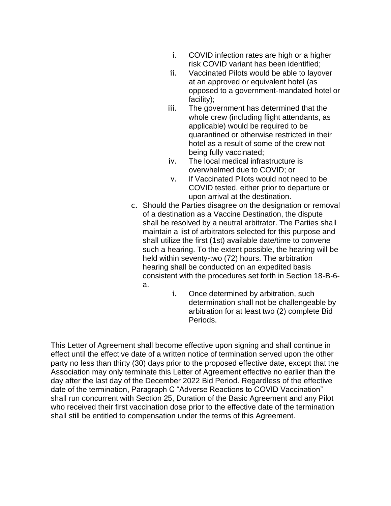- i. COVID infection rates are high or a higher risk COVID variant has been identified;
- ii. Vaccinated Pilots would be able to layover at an approved or equivalent hotel (as opposed to a government-mandated hotel or facility);
- iii. The government has determined that the whole crew (including flight attendants, as applicable) would be required to be quarantined or otherwise restricted in their hotel as a result of some of the crew not being fully vaccinated;
- iv. The local medical infrastructure is overwhelmed due to COVID; or
- v. If Vaccinated Pilots would not need to be COVID tested, either prior to departure or upon arrival at the destination.
- c. Should the Parties disagree on the designation or removal of a destination as a Vaccine Destination, the dispute shall be resolved by a neutral arbitrator. The Parties shall maintain a list of arbitrators selected for this purpose and shall utilize the first (1st) available date/time to convene such a hearing. To the extent possible, the hearing will be held within seventy-two (72) hours. The arbitration hearing shall be conducted on an expedited basis consistent with the procedures set forth in Section 18-B-6 a.
	- i. Once determined by arbitration, such determination shall not be challengeable by arbitration for at least two (2) complete Bid Periods.

This Letter of Agreement shall become effective upon signing and shall continue in effect until the effective date of a written notice of termination served upon the other party no less than thirty (30) days prior to the proposed effective date, except that the Association may only terminate this Letter of Agreement effective no earlier than the day after the last day of the December 2022 Bid Period. Regardless of the effective date of the termination, Paragraph C "Adverse Reactions to COVID Vaccination" shall run concurrent with Section 25, Duration of the Basic Agreement and any Pilot who received their first vaccination dose prior to the effective date of the termination shall still be entitled to compensation under the terms of this Agreement.